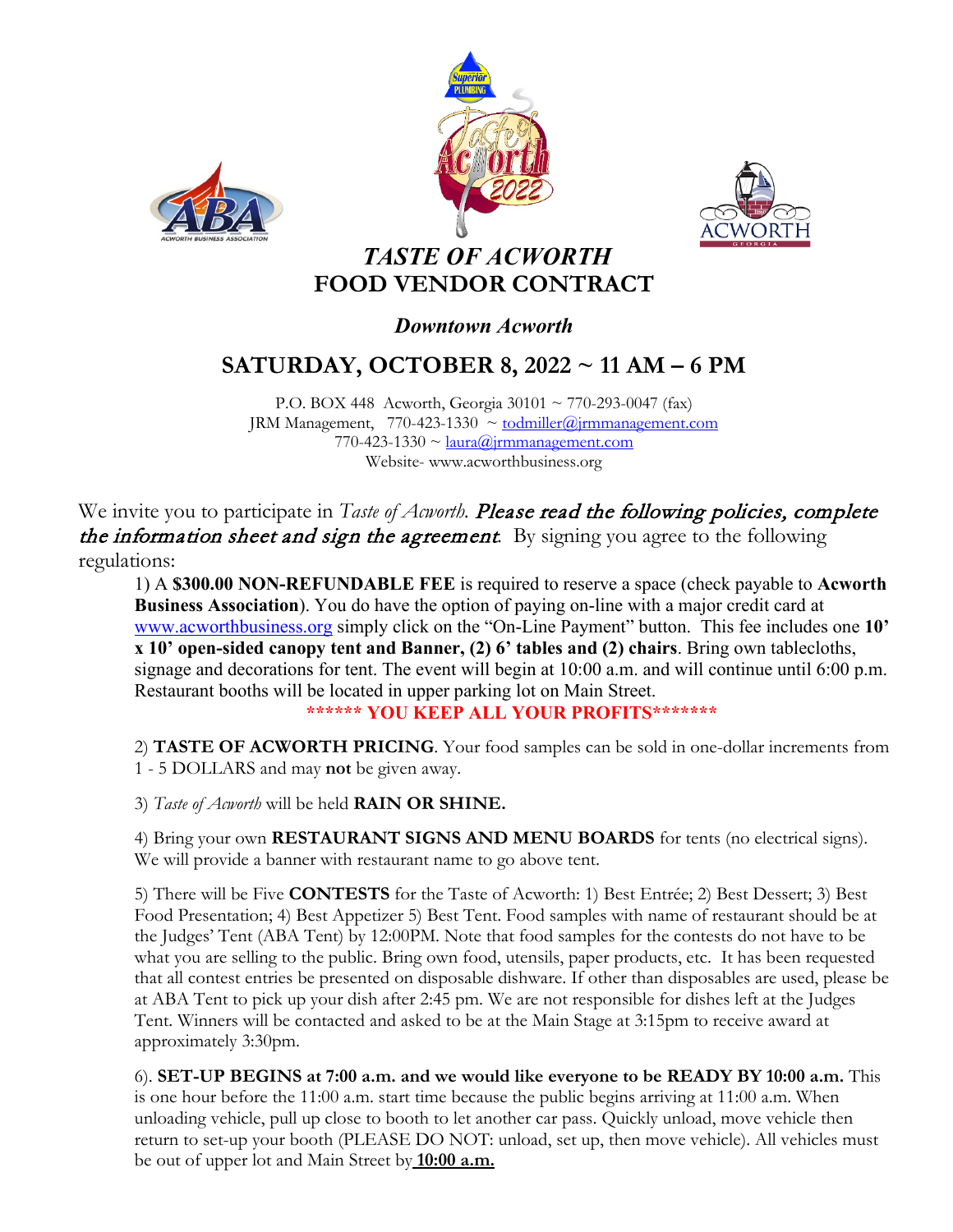





### *TASTE OF ACWORTH* **FOOD VENDOR CONTRACT**

### *Downtown Acworth*

# **SATURDAY, OCTOBER 8, 2022 ~ 11 AM – 6 PM**

P.O. BOX 448 Acworth, Georgia  $30101 \sim 770-293-0047$  (fax) JRM Management,  $770-423-1330 \sim \text{todmiller}(\hat{a})$ jrmmanagement.com 770-423-1330  $\sim$   $l$ aura $\omega$ jrmmanagement.com Website- www.acworthbusiness.org

We invite you to participate in *Taste of Acworth*. **Please read the following policies, complete** the information sheet and sign the agreement*.* By signing you agree to the following regulations:

1) A **\$300.00 NON-REFUNDABLE FEE** is required to reserve a space (check payable to **Acworth Business Association**). You do have the option of paying on-line with a major credit card at [www.acworthbusiness.org](http://www.acworthbusiness.org/) simply click on the "On-Line Payment" button. This fee includes one **10' x 10' open-sided canopy tent and Banner, (2) 6' tables and (2) chairs**. Bring own tablecloths, signage and decorations for tent. The event will begin at 10:00 a.m. and will continue until 6:00 p.m. Restaurant booths will be located in upper parking lot on Main Street.

**\*\*\*\*\*\* YOU KEEP ALL YOUR PROFITS\*\*\*\*\*\*\***

2) **TASTE OF ACWORTH PRICING**. Your food samples can be sold in one-dollar increments from 1 - 5 DOLLARS and may **not** be given away.

3) *Taste of Acworth* will be held **RAIN OR SHINE.**

4) Bring your own **RESTAURANT SIGNS AND MENU BOARDS** for tents (no electrical signs). We will provide a banner with restaurant name to go above tent.

5) There will be Five **CONTESTS** for the Taste of Acworth: 1) Best Entrée; 2) Best Dessert; 3) Best Food Presentation; 4) Best Appetizer 5) Best Tent. Food samples with name of restaurant should be at the Judges' Tent (ABA Tent) by 12:00PM. Note that food samples for the contests do not have to be what you are selling to the public. Bring own food, utensils, paper products, etc. It has been requested that all contest entries be presented on disposable dishware. If other than disposables are used, please be at ABA Tent to pick up your dish after 2:45 pm. We are not responsible for dishes left at the Judges Tent. Winners will be contacted and asked to be at the Main Stage at 3:15pm to receive award at approximately 3:30pm.

6). **SET-UP BEGINS at 7:00 a.m. and we would like everyone to be READY BY 10:00 a.m.** This is one hour before the 11:00 a.m. start time because the public begins arriving at 11:00 a.m. When unloading vehicle, pull up close to booth to let another car pass. Quickly unload, move vehicle then return to set-up your booth (PLEASE DO NOT: unload, set up, then move vehicle). All vehicles must be out of upper lot and Main Street by **10:00 a.m.**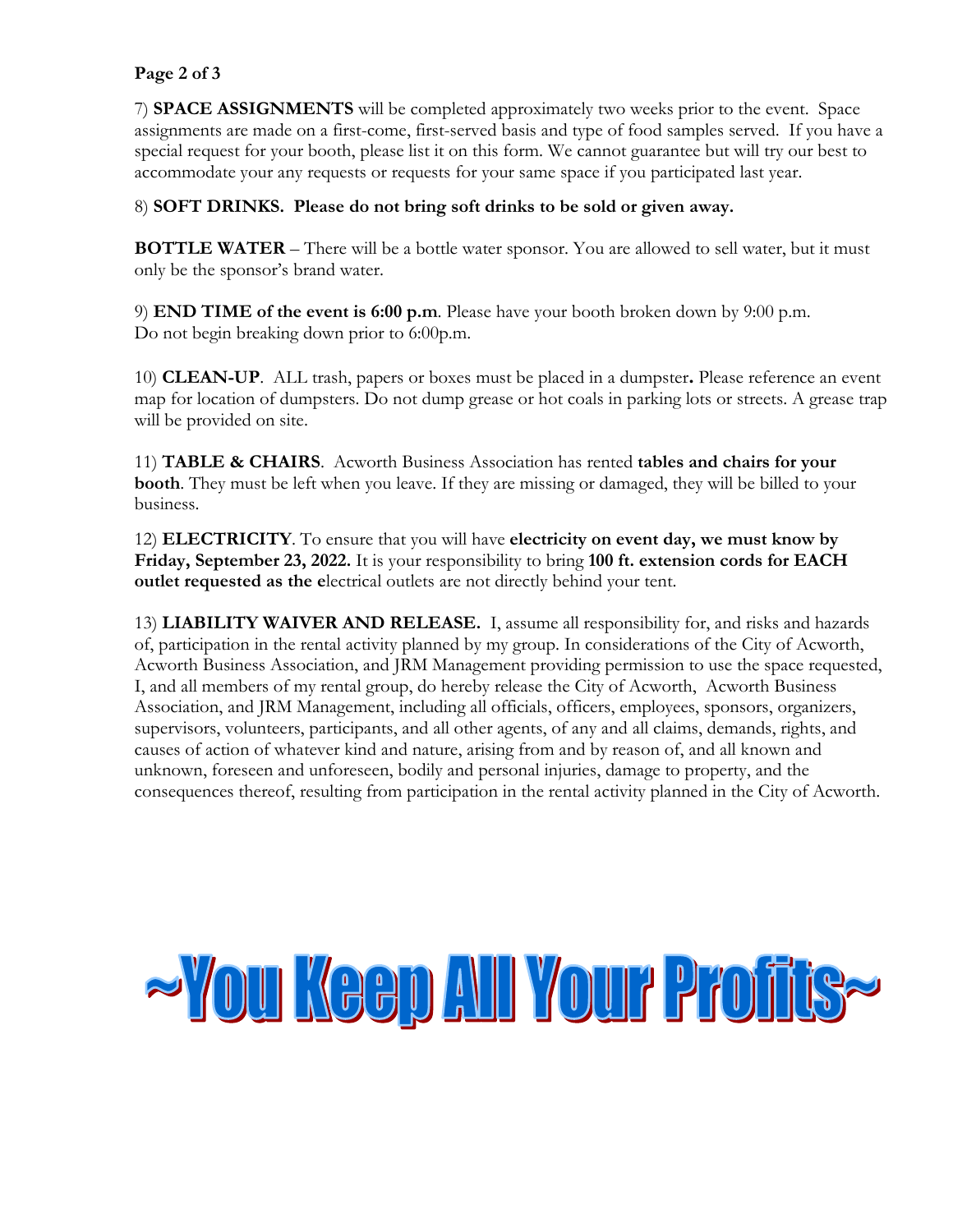#### **Page 2 of 3**

7) **SPACE ASSIGNMENTS** will be completed approximately two weeks prior to the event. Space assignments are made on a first-come, first-served basis and type of food samples served. If you have a special request for your booth, please list it on this form. We cannot guarantee but will try our best to accommodate your any requests or requests for your same space if you participated last year.

#### 8) **SOFT DRINKS. Please do not bring soft drinks to be sold or given away.**

**BOTTLE WATER** – There will be a bottle water sponsor. You are allowed to sell water, but it must only be the sponsor's brand water.

9) **END TIME of the event is 6:00 p.m**. Please have your booth broken down by 9:00 p.m. Do not begin breaking down prior to 6:00p.m.

10) **CLEAN-UP**. ALL trash, papers or boxes must be placed in a dumpster**.** Please reference an event map for location of dumpsters. Do not dump grease or hot coals in parking lots or streets. A grease trap will be provided on site.

11) **TABLE & CHAIRS**. Acworth Business Association has rented **tables and chairs for your booth**. They must be left when you leave. If they are missing or damaged, they will be billed to your business.

12) **ELECTRICITY**. To ensure that you will have **electricity on event day, we must know by Friday, September 23, 2022.** It is your responsibility to bring **100 ft. extension cords for EACH outlet requested as the e**lectrical outlets are not directly behind your tent.

13) **LIABILITY WAIVER AND RELEASE.** I, assume all responsibility for, and risks and hazards of, participation in the rental activity planned by my group. In considerations of the City of Acworth, Acworth Business Association, and JRM Management providing permission to use the space requested, I, and all members of my rental group, do hereby release the City of Acworth, Acworth Business Association, and JRM Management, including all officials, officers, employees, sponsors, organizers, supervisors, volunteers, participants, and all other agents, of any and all claims, demands, rights, and causes of action of whatever kind and nature, arising from and by reason of, and all known and unknown, foreseen and unforeseen, bodily and personal injuries, damage to property, and the consequences thereof, resulting from participation in the rental activity planned in the City of Acworth.